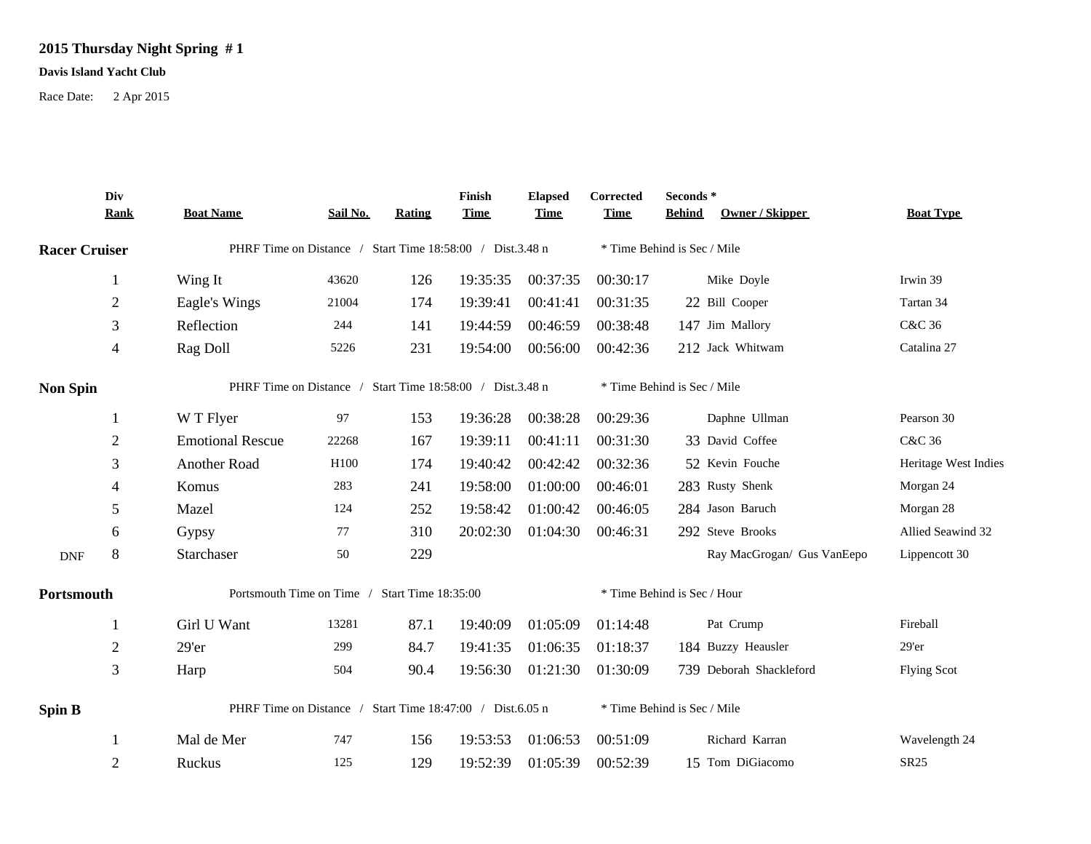## **2015 Thursday Night Spring # 1**

## **Davis Island Yacht Club**

Race Date: 2 Apr 2015

|                                                                                                                     | Div<br><b>Rank</b> | <b>Boat Name</b>                                          | Sail No. | Rating | Finish<br><b>Time</b> | <b>Elapsed</b><br><b>Time</b> | Corrected<br><b>Time</b>    | Seconds *<br>Owner / Skipper<br><b>Behind</b> | <b>Boat Type</b>     |  |  |
|---------------------------------------------------------------------------------------------------------------------|--------------------|-----------------------------------------------------------|----------|--------|-----------------------|-------------------------------|-----------------------------|-----------------------------------------------|----------------------|--|--|
|                                                                                                                     |                    | PHRF Time on Distance / Start Time 18:58:00 / Dist.3.48 n |          |        |                       |                               |                             | * Time Behind is Sec / Mile                   |                      |  |  |
|                                                                                                                     | $\mathbf{1}$       | Wing It                                                   | 43620    | 126    | 19:35:35              | 00:37:35                      | 00:30:17                    | Mike Doyle                                    | Irwin 39             |  |  |
|                                                                                                                     | $\sqrt{2}$         | Eagle's Wings                                             | 21004    | 174    | 19:39:41              | 00:41:41                      | 00:31:35                    | 22 Bill Cooper                                | Tartan 34            |  |  |
|                                                                                                                     | 3                  | Reflection                                                | 244      | 141    | 19:44:59              | 00:46:59                      | 00:38:48                    | 147 Jim Mallory                               | C&C 36               |  |  |
|                                                                                                                     | $\overline{4}$     | Rag Doll                                                  | 5226     | 231    | 19:54:00              | 00:56:00                      | 00:42:36                    | 212 Jack Whitwam                              | Catalina 27          |  |  |
| <b>Racer Cruiser</b><br><b>Non Spin</b><br>-1<br>$\overline{2}$<br>3<br>$\overline{4}$<br>5<br>6<br>8<br><b>DNF</b> |                    | PHRF Time on Distance / Start Time 18:58:00 / Dist.3.48 n |          |        |                       |                               | * Time Behind is Sec / Mile |                                               |                      |  |  |
|                                                                                                                     |                    | W T Flyer                                                 | 97       | 153    | 19:36:28              | 00:38:28                      | 00:29:36                    | Daphne Ullman                                 | Pearson 30           |  |  |
|                                                                                                                     |                    | <b>Emotional Rescue</b>                                   | 22268    | 167    | 19:39:11              | 00:41:11                      | 00:31:30                    | 33 David Coffee                               | C&C 36               |  |  |
|                                                                                                                     |                    | Another Road                                              | H100     | 174    | 19:40:42              | 00:42:42                      | 00:32:36                    | 52 Kevin Fouche                               | Heritage West Indies |  |  |
|                                                                                                                     |                    | Komus                                                     | 283      | 241    | 19:58:00              | 01:00:00                      | 00:46:01                    | 283 Rusty Shenk                               | Morgan 24            |  |  |
|                                                                                                                     |                    | Mazel                                                     | 124      | 252    | 19:58:42              | 01:00:42                      | 00:46:05                    | 284 Jason Baruch                              | Morgan 28            |  |  |
|                                                                                                                     |                    | Gypsy                                                     | 77       | 310    | 20:02:30              | 01:04:30                      | 00:46:31                    | 292 Steve Brooks                              | Allied Seawind 32    |  |  |
|                                                                                                                     |                    | Starchaser                                                | 50       | 229    |                       |                               |                             | Ray MacGrogan/ Gus VanEepo                    | Lippencott 30        |  |  |
| Portsmouth                                                                                                          |                    | Portsmouth Time on Time / Start Time 18:35:00             |          |        |                       |                               |                             | * Time Behind is Sec / Hour                   |                      |  |  |
|                                                                                                                     | 1                  | Girl U Want                                               | 13281    | 87.1   | 19:40:09              | 01:05:09                      | 01:14:48                    | Pat Crump                                     | Fireball             |  |  |
|                                                                                                                     | $\overline{2}$     | 29'er                                                     | 299      | 84.7   | 19:41:35              | 01:06:35                      | 01:18:37                    | 184 Buzzy Heausler                            | 29'er                |  |  |
|                                                                                                                     | $\mathfrak{Z}$     | Harp                                                      | 504      | 90.4   | 19:56:30              | 01:21:30                      | 01:30:09                    | 739 Deborah Shackleford                       | <b>Flying Scot</b>   |  |  |
| <b>Spin B</b>                                                                                                       |                    | PHRF Time on Distance / Start Time 18:47:00 / Dist.6.05 n |          |        |                       |                               |                             | * Time Behind is Sec / Mile                   |                      |  |  |
|                                                                                                                     |                    | Mal de Mer                                                | 747      | 156    | 19:53:53              | 01:06:53                      | 00:51:09                    | Richard Karran                                | Wavelength 24        |  |  |
|                                                                                                                     | $\overline{2}$     | Ruckus                                                    | 125      | 129    | 19:52:39              | 01:05:39                      | 00:52:39                    | 15 Tom DiGiacomo                              | SR25                 |  |  |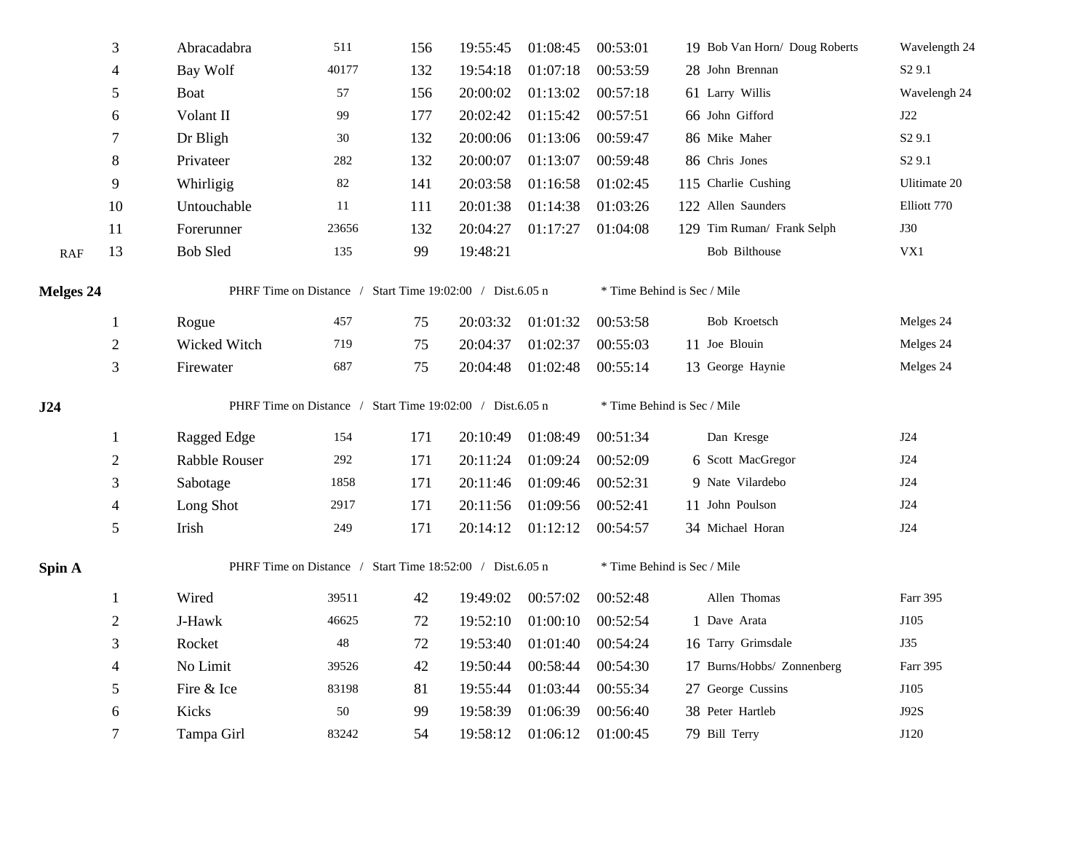|                  | $\ensuremath{\mathfrak{Z}}$ | Abracadabra                                               | 511    | 156 | 19:55:45 | 01:08:45 | 00:53:01                    | 19 Bob Van Horn/ Doug Roberts | Wavelength 24      |  |  |
|------------------|-----------------------------|-----------------------------------------------------------|--------|-----|----------|----------|-----------------------------|-------------------------------|--------------------|--|--|
|                  | $\overline{\mathcal{L}}$    | Bay Wolf                                                  | 40177  | 132 | 19:54:18 | 01:07:18 | 00:53:59                    | 28 John Brennan               | S <sub>2</sub> 9.1 |  |  |
|                  | 5                           | Boat                                                      | 57     | 156 | 20:00:02 | 01:13:02 | 00:57:18                    | 61 Larry Willis               | Wavelengh 24       |  |  |
|                  | 6                           | Volant II                                                 | 99     | 177 | 20:02:42 | 01:15:42 | 00:57:51                    | 66 John Gifford               | J22                |  |  |
|                  | 7                           | Dr Bligh                                                  | 30     | 132 | 20:00:06 | 01:13:06 | 00:59:47                    | 86 Mike Maher                 | S <sub>2</sub> 9.1 |  |  |
|                  | $8\,$                       | Privateer                                                 | 282    | 132 | 20:00:07 | 01:13:07 | 00:59:48                    | 86 Chris Jones                | S <sub>2</sub> 9.1 |  |  |
|                  | 9                           | Whirligig                                                 | $82\,$ | 141 | 20:03:58 | 01:16:58 | 01:02:45                    | 115 Charlie Cushing           | Ulitimate 20       |  |  |
|                  | 10                          | Untouchable                                               | 11     | 111 | 20:01:38 | 01:14:38 | 01:03:26                    | 122 Allen Saunders            | Elliott 770        |  |  |
|                  | 11                          | Forerunner                                                | 23656  | 132 | 20:04:27 | 01:17:27 | 01:04:08                    | 129 Tim Ruman/ Frank Selph    | <b>J30</b>         |  |  |
| RAF              | 13                          | <b>Bob Sled</b>                                           | 135    | 99  | 19:48:21 |          |                             | Bob Bilthouse                 | VX1                |  |  |
| <b>Melges 24</b> |                             | PHRF Time on Distance / Start Time 19:02:00 / Dist.6.05 n |        |     |          |          | * Time Behind is Sec / Mile |                               |                    |  |  |
|                  | $\mathbf{1}$                | Rogue                                                     | 457    | 75  | 20:03:32 | 01:01:32 | 00:53:58                    | Bob Kroetsch                  | Melges 24          |  |  |
|                  | $\sqrt{2}$                  | Wicked Witch                                              | 719    | 75  | 20:04:37 | 01:02:37 | 00:55:03                    | 11 Joe Blouin                 | Melges 24          |  |  |
|                  | 3                           | Firewater                                                 | 687    | 75  | 20:04:48 | 01:02:48 | 00:55:14                    | 13 George Haynie              | Melges 24          |  |  |
| J24              |                             | PHRF Time on Distance / Start Time 19:02:00 / Dist.6.05 n |        |     |          |          |                             | * Time Behind is Sec / Mile   |                    |  |  |
|                  |                             |                                                           |        |     |          |          |                             |                               |                    |  |  |
|                  | $\mathbf{1}$                | Ragged Edge                                               | 154    | 171 | 20:10:49 | 01:08:49 | 00:51:34                    | Dan Kresge                    | J24                |  |  |
|                  | $\boldsymbol{2}$            | Rabble Rouser                                             | 292    | 171 | 20:11:24 | 01:09:24 | 00:52:09                    | 6 Scott MacGregor             | J24                |  |  |
|                  | 3                           | Sabotage                                                  | 1858   | 171 | 20:11:46 | 01:09:46 | 00:52:31                    | 9 Nate Vilardebo              | J24                |  |  |
|                  | 4                           | Long Shot                                                 | 2917   | 171 | 20:11:56 | 01:09:56 | 00:52:41                    | 11 John Poulson               | J24                |  |  |
|                  | 5                           | Irish                                                     | 249    | 171 | 20:14:12 | 01:12:12 | 00:54:57                    | 34 Michael Horan              | <b>J24</b>         |  |  |
| Spin A           |                             | PHRF Time on Distance / Start Time 18:52:00 / Dist.6.05 n |        |     |          |          |                             | * Time Behind is Sec / Mile   |                    |  |  |
|                  | $\mathbf{1}$                | Wired                                                     | 39511  | 42  | 19:49:02 | 00:57:02 | 00:52:48                    | Allen Thomas                  | Farr 395           |  |  |
|                  | $\boldsymbol{2}$            | J-Hawk                                                    | 46625  | 72  | 19:52:10 | 01:00:10 | 00:52:54                    | 1 Dave Arata                  | J105               |  |  |
|                  | 3                           | Rocket                                                    | $48\,$ | 72  | 19:53:40 | 01:01:40 | 00:54:24                    | 16 Tarry Grimsdale            | <b>J35</b>         |  |  |
|                  | 4                           | No Limit                                                  | 39526  | 42  | 19:50:44 | 00:58:44 | 00:54:30                    | 17 Burns/Hobbs/ Zonnenberg    | Farr 395           |  |  |
|                  | 5                           | Fire & Ice                                                | 83198  | 81  | 19:55:44 | 01:03:44 | 00:55:34                    | 27 George Cussins             | J105               |  |  |
|                  | 6                           | Kicks                                                     | 50     | 99  | 19:58:39 | 01:06:39 | 00:56:40                    | 38 Peter Hartleb              | J92S               |  |  |